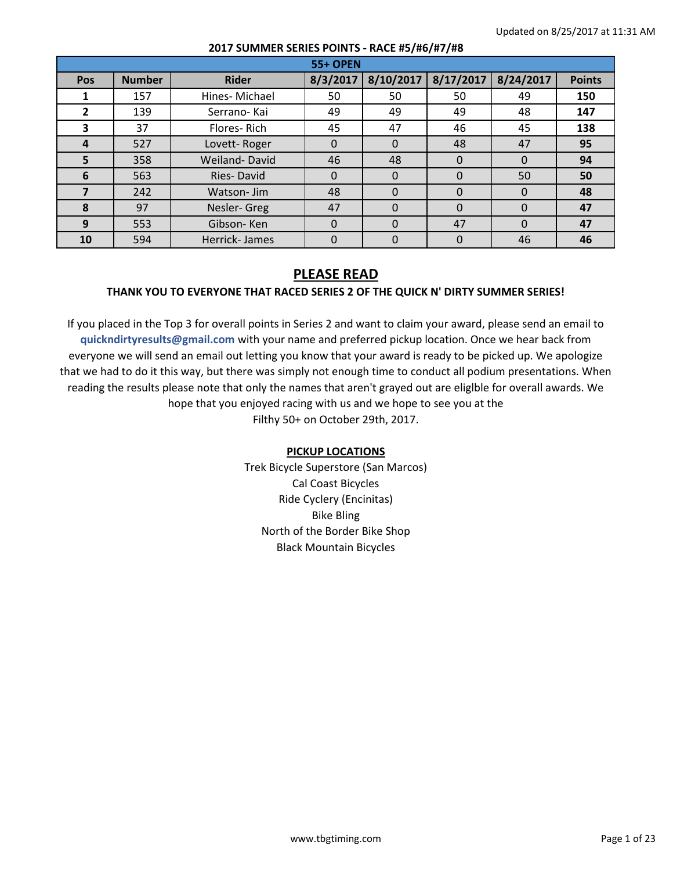|              |               |                   | <b>55+ OPEN</b> |           |           |           |               |
|--------------|---------------|-------------------|-----------------|-----------|-----------|-----------|---------------|
| Pos          | <b>Number</b> | <b>Rider</b>      | 8/3/2017        | 8/10/2017 | 8/17/2017 | 8/24/2017 | <b>Points</b> |
|              | 157           | Hines-Michael     | 50              | 50        | 50        | 49        | 150           |
| $\mathbf{2}$ | 139           | Serrano-Kai       | 49              | 49        | 49        | 48        | 147           |
| 3            | 37            | Flores-Rich       | 45              | 47        | 46        | 45        | 138           |
| 4            | 527           | Lovett-Roger      | 0               | $\Omega$  | 48        | 47        | 95            |
| 5            | 358           | Weiland-David     | 46              | 48        | $\Omega$  | $\Omega$  | 94            |
| 6            | 563           | <b>Ries-David</b> | 0               | $\Omega$  | $\Omega$  | 50        | 50            |
|              | 242           | Watson-Jim        | 48              | 0         | $\Omega$  | $\Omega$  | 48            |
| 8            | 97            | Nesler-Greg       | 47              | $\Omega$  | $\Omega$  | $\Omega$  | 47            |
| 9            | 553           | Gibson-Ken        | 0               | $\Omega$  | 47        | $\Omega$  | 47            |
| 10           | 594           | Herrick-James     |                 | 0         | 0         | 46        | 46            |

# **PLEASE READ THANK YOU TO EVERYONE THAT RACED SERIES 2 OF THE QUICK N' DIRTY SUMMER SERIES!**

If you placed in the Top 3 for overall points in Series 2 and want to claim your award, please send an email to **quickndirtyresults@gmail.com** with your name and preferred pickup location. Once we hear back from everyone we will send an email out letting you know that your award is ready to be picked up. We apologize that we had to do it this way, but there was simply not enough time to conduct all podium presentations. When reading the results please note that only the names that aren't grayed out are eliglble for overall awards. We hope that you enjoyed racing with us and we hope to see you at the Filthy 50+ on October 29th, 2017.

#### **PICKUP LOCATIONS**

Trek Bicycle Superstore (San Marcos) Cal Coast Bicycles Ride Cyclery (Encinitas) Bike Bling North of the Border Bike Shop Black Mountain Bicycles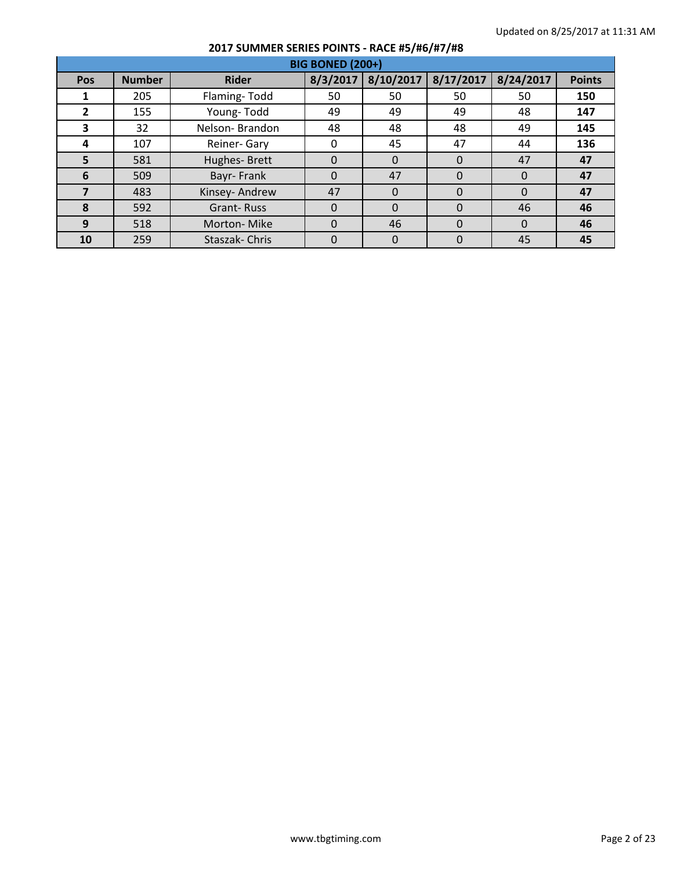| <b>BIG BONED (200+)</b> |               |                   |          |           |           |           |               |  |  |  |
|-------------------------|---------------|-------------------|----------|-----------|-----------|-----------|---------------|--|--|--|
| Pos                     | <b>Number</b> | <b>Rider</b>      | 8/3/2017 | 8/10/2017 | 8/17/2017 | 8/24/2017 | <b>Points</b> |  |  |  |
|                         | 205           | Flaming-Todd      | 50       | 50        | 50        | 50        | 150           |  |  |  |
| $\mathbf{2}$            | 155           | Young-Todd        | 49       | 49        | 49        | 48        | 147           |  |  |  |
| 3                       | 32            | Nelson-Brandon    | 48       | 48        | 48        | 49        | 145           |  |  |  |
| 4                       | 107           | Reiner- Gary      | 0        | 45        | 47        | 44        | 136           |  |  |  |
| 5                       | 581           | Hughes-Brett      | 0        | $\Omega$  | $\Omega$  | 47        | 47            |  |  |  |
| 6                       | 509           | Bayr-Frank        | 0        | 47        | $\Omega$  | $\Omega$  | 47            |  |  |  |
|                         | 483           | Kinsey- Andrew    | 47       | $\Omega$  | $\Omega$  | $\Omega$  | 47            |  |  |  |
| 8                       | 592           | <b>Grant-Russ</b> | $\Omega$ | $\Omega$  | $\Omega$  | 46        | 46            |  |  |  |
| 9                       | 518           | Morton-Mike       | 0        | 46        | $\Omega$  | $\Omega$  | 46            |  |  |  |
| 10                      | 259           | Staszak-Chris     | 0        |           | 0         | 45        | 45            |  |  |  |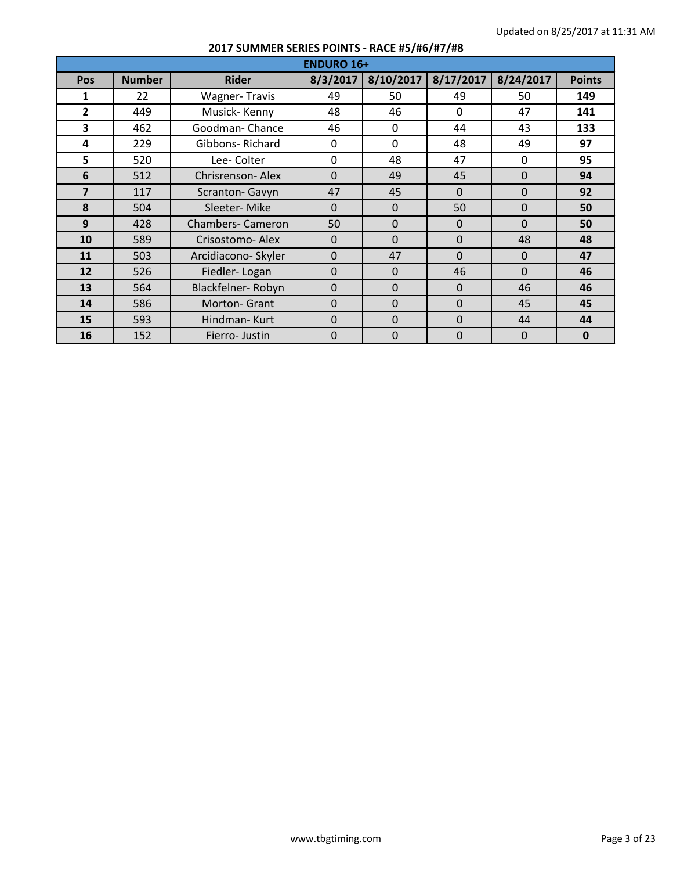|                | <b>ENDURO 16+</b> |                          |              |           |           |                |               |  |  |  |  |
|----------------|-------------------|--------------------------|--------------|-----------|-----------|----------------|---------------|--|--|--|--|
| Pos            | <b>Number</b>     | <b>Rider</b>             | 8/3/2017     | 8/10/2017 | 8/17/2017 | 8/24/2017      | <b>Points</b> |  |  |  |  |
| 1              | 22                | <b>Wagner-Travis</b>     | 49           | 50        | 49        | 50             | 149           |  |  |  |  |
| $\overline{2}$ | 449               | Musick-Kenny             | 48           | 46        | $\Omega$  | 47             | 141           |  |  |  |  |
| 3              | 462               | Goodman-Chance           | 46           | $\Omega$  | 44        | 43             | 133           |  |  |  |  |
| 4              | 229               | Gibbons-Richard          | 0            | $\Omega$  | 48        | 49             | 97            |  |  |  |  |
| 5              | 520               | Lee-Colter               | 0            | 48        | 47        | $\mathbf{0}$   | 95            |  |  |  |  |
| 6              | 512               | Chrisrenson-Alex         | $\Omega$     | 49        | 45        | $\Omega$       | 94            |  |  |  |  |
| $\overline{ }$ | 117               | Scranton- Gavyn          | 47           | 45        | $\Omega$  | $\Omega$       | 92            |  |  |  |  |
| 8              | 504               | Sleeter-Mike             | $\Omega$     | $\Omega$  | 50        | $\Omega$       | 50            |  |  |  |  |
| 9              | 428               | <b>Chambers- Cameron</b> | 50           | $\Omega$  | $\Omega$  | $\Omega$       | 50            |  |  |  |  |
| 10             | 589               | Crisostomo- Alex         | $\mathbf{0}$ | $\Omega$  | $\Omega$  | 48             | 48            |  |  |  |  |
| 11             | 503               | Arcidiacono- Skyler      | $\Omega$     | 47        | $\Omega$  | $\Omega$       | 47            |  |  |  |  |
| 12             | 526               | Fiedler-Logan            | $\mathbf{0}$ | $\Omega$  | 46        | $\overline{0}$ | 46            |  |  |  |  |
| 13             | 564               | Blackfelner-Robyn        | $\Omega$     | $\Omega$  | $\Omega$  | 46             | 46            |  |  |  |  |
| 14             | 586               | Morton- Grant            | $\Omega$     | $\Omega$  | $\Omega$  | 45             | 45            |  |  |  |  |
| 15             | 593               | Hindman-Kurt             | $\Omega$     | $\Omega$  | $\Omega$  | 44             | 44            |  |  |  |  |
| 16             | 152               | Fierro-Justin            | 0            | $\Omega$  | $\Omega$  | $\Omega$       | $\mathbf 0$   |  |  |  |  |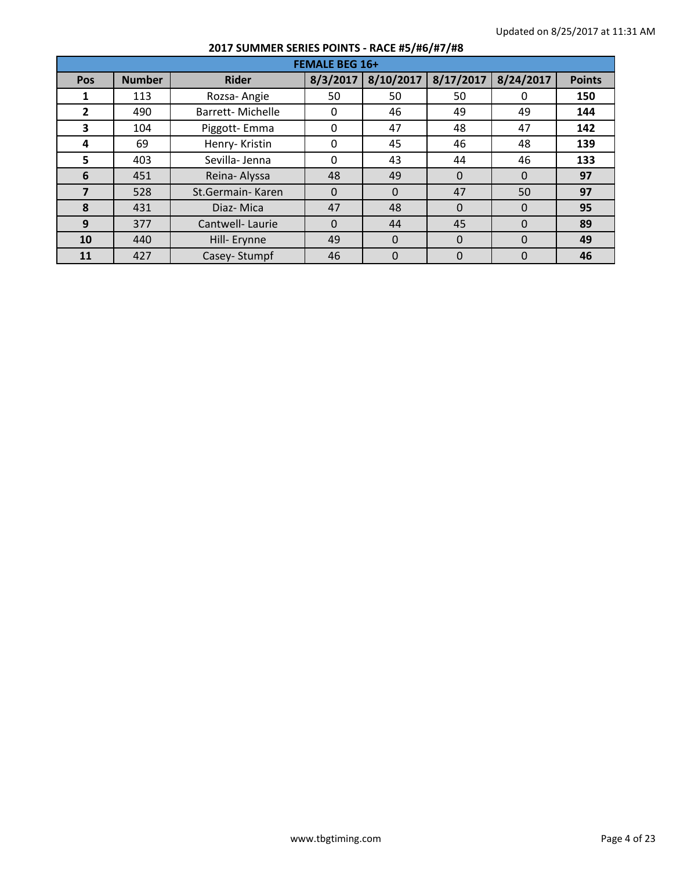|              | <b>FEMALE BEG 16+</b> |                         |          |           |           |           |               |  |  |  |
|--------------|-----------------------|-------------------------|----------|-----------|-----------|-----------|---------------|--|--|--|
| Pos          | <b>Number</b>         | <b>Rider</b>            | 8/3/2017 | 8/10/2017 | 8/17/2017 | 8/24/2017 | <b>Points</b> |  |  |  |
|              | 113                   | Rozsa-Angie             | 50       | 50        | 50        | 0         | 150           |  |  |  |
| $\mathbf{2}$ | 490                   | <b>Barrett-Michelle</b> | 0        | 46        | 49        | 49        | 144           |  |  |  |
| 3            | 104                   | Piggott-Emma            | 0        | 47        | 48        | 47        | 142           |  |  |  |
| 4            | 69                    | Henry-Kristin           | 0        | 45        | 46        | 48        | 139           |  |  |  |
| 5            | 403                   | Sevilla-Jenna           | 0        | 43        | 44        | 46        | 133           |  |  |  |
| 6            | 451                   | Reina-Alyssa            | 48       | 49        | $\Omega$  | $\Omega$  | 97            |  |  |  |
| 7            | 528                   | St.Germain-Karen        | 0        | $\Omega$  | 47        | 50        | 97            |  |  |  |
| 8            | 431                   | Diaz-Mica               | 47       | 48        | $\Omega$  | $\Omega$  | 95            |  |  |  |
| 9            | 377                   | Cantwell-Laurie         | $\Omega$ | 44        | 45        | $\Omega$  | 89            |  |  |  |
| 10           | 440                   | Hill- Erynne            | 49       | $\Omega$  | $\Omega$  | $\Omega$  | 49            |  |  |  |
| 11           | 427                   | Casey-Stumpf            | 46       | 0         | $\Omega$  | $\Omega$  | 46            |  |  |  |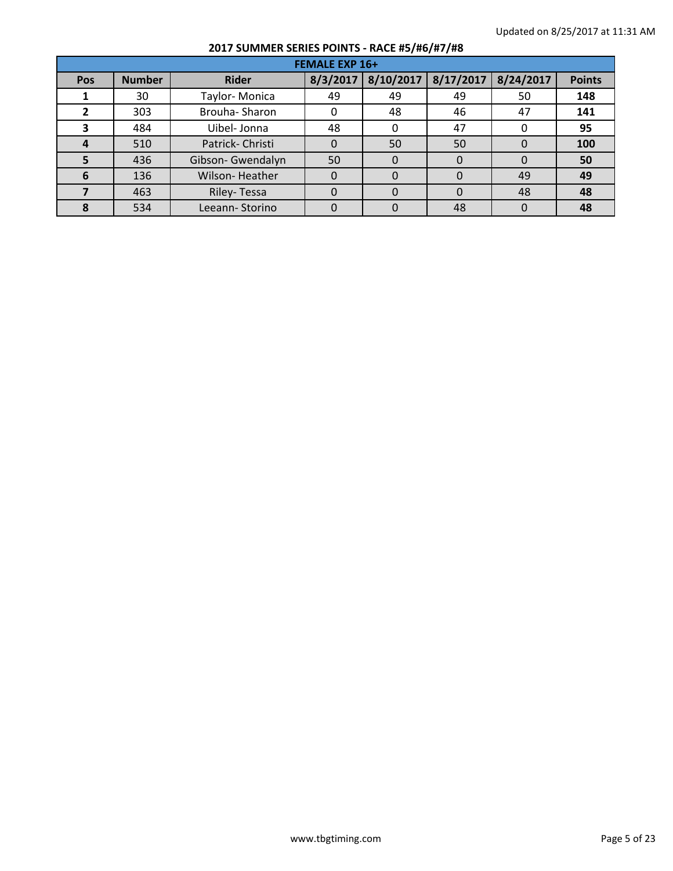| <b>FEMALE EXP 16+</b> |               |                   |          |           |           |           |               |  |  |
|-----------------------|---------------|-------------------|----------|-----------|-----------|-----------|---------------|--|--|
| <b>Pos</b>            | <b>Number</b> | <b>Rider</b>      | 8/3/2017 | 8/10/2017 | 8/17/2017 | 8/24/2017 | <b>Points</b> |  |  |
|                       | 30            | Taylor-Monica     | 49       | 49        | 49        | 50        | 148           |  |  |
| 2                     | 303           | Brouha-Sharon     |          | 48        | 46        | 47        | 141           |  |  |
| з                     | 484           | Uibel- Jonna      | 48       |           | 47        |           | 95            |  |  |
| 4                     | 510           | Patrick-Christi   |          | 50        | 50        | $\Omega$  | 100           |  |  |
| 5                     | 436           | Gibson- Gwendalyn | 50       | 0         | 0         | $\Omega$  | 50            |  |  |
| 6                     | 136           | Wilson-Heather    |          | 0         | 0         | 49        | 49            |  |  |
|                       | 463           | Riley-Tessa       |          | O         | 0         | 48        | 48            |  |  |
|                       | 534           | Leeann-Storino    |          | O         | 48        | $\Omega$  | 48            |  |  |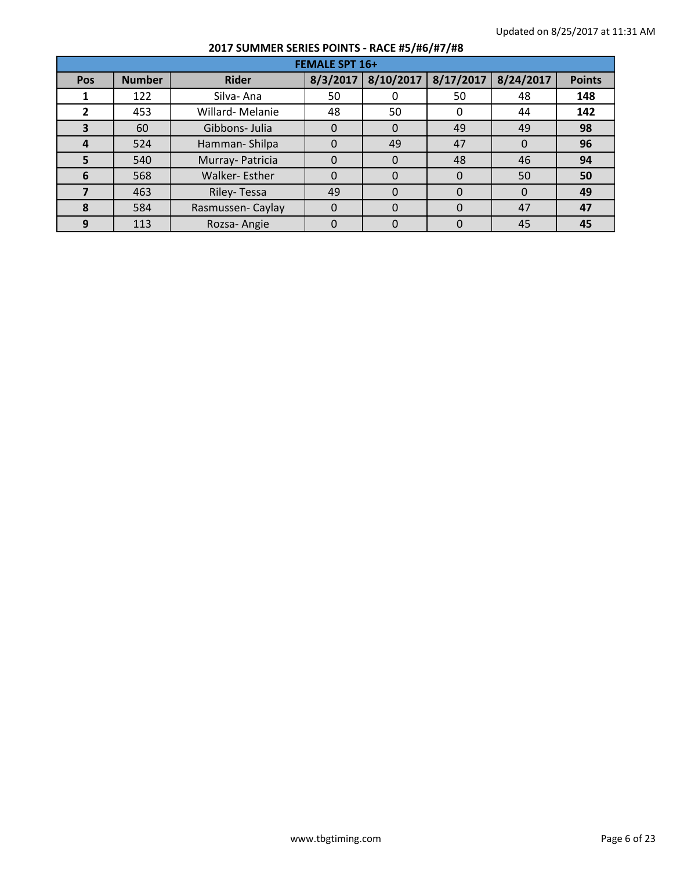|     | <b>FEMALE SPT 16+</b> |                  |          |           |           |           |               |  |  |  |  |
|-----|-----------------------|------------------|----------|-----------|-----------|-----------|---------------|--|--|--|--|
| Pos | <b>Number</b>         | <b>Rider</b>     | 8/3/2017 | 8/10/2017 | 8/17/2017 | 8/24/2017 | <b>Points</b> |  |  |  |  |
|     | 122                   | Silva-Ana        | 50       |           | 50        | 48        | 148           |  |  |  |  |
| 2   | 453                   | Willard-Melanie  | 48       | 50        | 0         | 44        | 142           |  |  |  |  |
| З   | 60                    | Gibbons- Julia   | 0        | 0         | 49        | 49        | 98            |  |  |  |  |
| 4   | 524                   | Hamman-Shilpa    |          | 49        | 47        | $\Omega$  | 96            |  |  |  |  |
| 5   | 540                   | Murray- Patricia | 0        | 0         | 48        | 46        | 94            |  |  |  |  |
| 6   | 568                   | Walker-Esther    |          |           | $\Omega$  | 50        | 50            |  |  |  |  |
|     | 463                   | Riley-Tessa      | 49       | $\Omega$  | 0         | $\Omega$  | 49            |  |  |  |  |
| 8   | 584                   | Rasmussen-Caylay | 0        | $\Omega$  | $\Omega$  | 47        | 47            |  |  |  |  |
| 9   | 113                   | Rozsa-Angie      |          |           |           | 45        | 45            |  |  |  |  |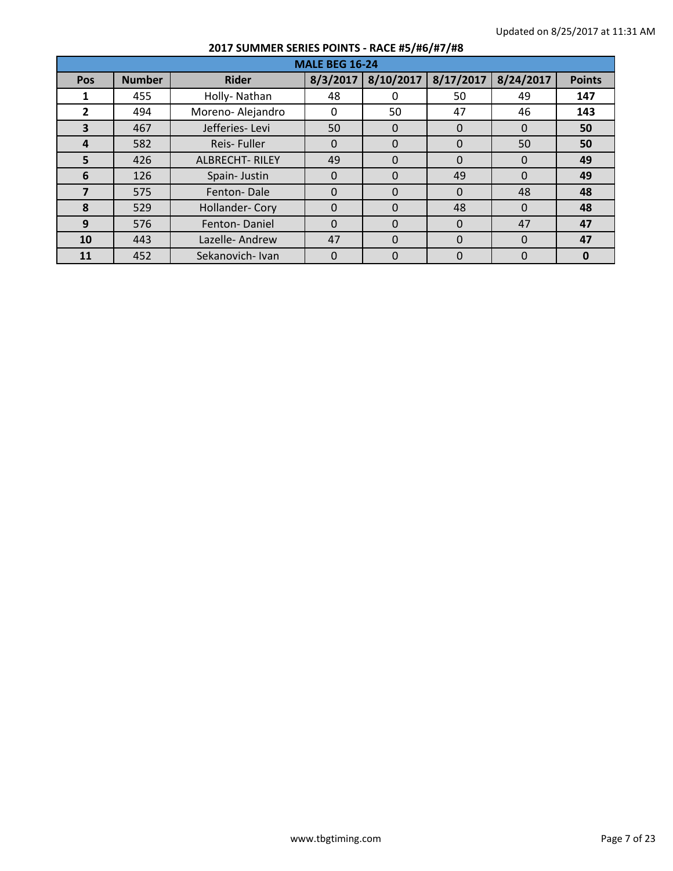|     | <b>MALE BEG 16-24</b> |                       |          |           |           |           |               |  |  |  |
|-----|-----------------------|-----------------------|----------|-----------|-----------|-----------|---------------|--|--|--|
| Pos | <b>Number</b>         | <b>Rider</b>          | 8/3/2017 | 8/10/2017 | 8/17/2017 | 8/24/2017 | <b>Points</b> |  |  |  |
|     | 455                   | Holly-Nathan          | 48       |           | 50        | 49        | 147           |  |  |  |
| 2   | 494                   | Moreno-Alejandro      | 0        | 50        | 47        | 46        | 143           |  |  |  |
| 3   | 467                   | Jefferies-Levi        | 50       | 0         | $\Omega$  | $\Omega$  | 50            |  |  |  |
| 4   | 582                   | Reis-Fuller           | 0        | $\Omega$  | $\Omega$  | 50        | 50            |  |  |  |
| 5   | 426                   | <b>ALBRECHT-RILEY</b> | 49       | 0         | $\Omega$  | $\Omega$  | 49            |  |  |  |
| 6   | 126                   | Spain-Justin          | $\Omega$ | $\Omega$  | 49        | $\Omega$  | 49            |  |  |  |
| 7   | 575                   | Fenton-Dale           | $\Omega$ | $\Omega$  | $\Omega$  | 48        | 48            |  |  |  |
| 8   | 529                   | Hollander- Cory       | 0        | $\Omega$  | 48        | $\Omega$  | 48            |  |  |  |
| 9   | 576                   | Fenton-Daniel         | 0        | $\Omega$  | $\Omega$  | 47        | 47            |  |  |  |
| 10  | 443                   | Lazelle-Andrew        | 47       | $\Omega$  | $\Omega$  | $\Omega$  | 47            |  |  |  |
| 11  | 452                   | Sekanovich-Ivan       | 0        | $\Omega$  | 0         | 0         | 0             |  |  |  |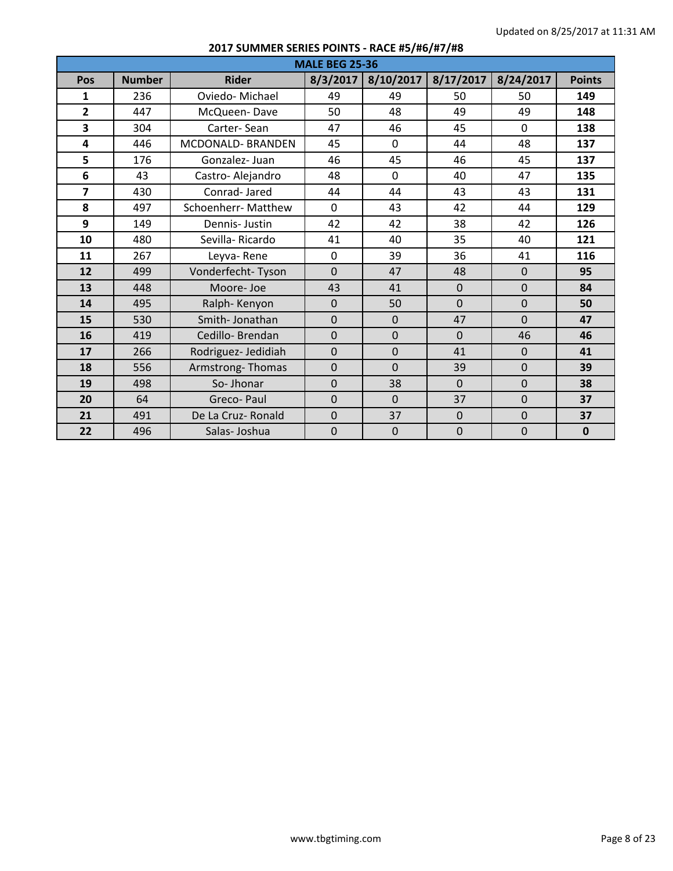| <b>MALE BEG 25-36</b> |               |                            |                |                |                |                |               |  |  |
|-----------------------|---------------|----------------------------|----------------|----------------|----------------|----------------|---------------|--|--|
| Pos                   | <b>Number</b> | <b>Rider</b>               | 8/3/2017       | 8/10/2017      | 8/17/2017      | 8/24/2017      | <b>Points</b> |  |  |
| 1                     | 236           | Oviedo-Michael             | 49             | 49             | 50             | 50             | 149           |  |  |
| $\overline{2}$        | 447           | McQueen-Dave               | 50             | 48             | 49             | 49             | 148           |  |  |
| 3                     | 304           | Carter-Sean                | 47             | 46             | 45             | $\mathbf 0$    | 138           |  |  |
| 4                     | 446           | MCDONALD- BRANDEN          | 45             | $\mathbf 0$    | 44             | 48             | 137           |  |  |
| 5                     | 176           | Gonzalez-Juan              | 46             | 45             | 46             | 45             | 137           |  |  |
| 6                     | 43            | Castro-Alejandro           | 48             | $\mathbf 0$    | 40             | 47             | 135           |  |  |
| $\overline{7}$        | 430           | Conrad-Jared               | 44             | 44             | 43             | 43             | 131           |  |  |
| 8                     | 497           | <b>Schoenherr- Matthew</b> | 0              | 43             | 42             | 44             | 129           |  |  |
| 9                     | 149           | Dennis-Justin              | 42             | 42             | 38             | 42             | 126           |  |  |
| 10                    | 480           | Sevilla-Ricardo            | 41             | 40             | 35             | 40             | 121           |  |  |
| 11                    | 267           | Leyva-Rene                 | $\mathbf 0$    | 39             | 36             | 41             | 116           |  |  |
| 12                    | 499           | Vonderfecht-Tyson          | $\overline{0}$ | 47             | 48             | $\mathbf{0}$   | 95            |  |  |
| 13                    | 448           | Moore-Joe                  | 43             | 41             | $\overline{0}$ | $\overline{0}$ | 84            |  |  |
| 14                    | 495           | Ralph-Kenyon               | $\overline{0}$ | 50             | $\overline{0}$ | $\overline{0}$ | 50            |  |  |
| 15                    | 530           | Smith-Jonathan             | $\mathbf{0}$   | $\mathbf{0}$   | 47             | $\overline{0}$ | 47            |  |  |
| 16                    | 419           | Cedillo-Brendan            | $\overline{0}$ | $\mathbf{0}$   | $\overline{0}$ | 46             | 46            |  |  |
| 17                    | 266           | Rodriguez- Jedidiah        | $\overline{0}$ | $\overline{0}$ | 41             | $\mathbf{0}$   | 41            |  |  |
| 18                    | 556           | Armstrong-Thomas           | $\overline{0}$ | $\Omega$       | 39             | $\mathbf{0}$   | 39            |  |  |
| 19                    | 498           | So-Jhonar                  | $\mathbf{0}$   | 38             | $\Omega$       | $\Omega$       | 38            |  |  |
| 20                    | 64            | Greco-Paul                 | $\overline{0}$ | $\mathbf{0}$   | 37             | $\Omega$       | 37            |  |  |
| 21                    | 491           | De La Cruz- Ronald         | $\overline{0}$ | 37             | $\mathbf 0$    | $\mathbf 0$    | 37            |  |  |
| 22                    | 496           | Salas-Joshua               | $\overline{0}$ | $\overline{0}$ | $\mathbf 0$    | $\overline{0}$ | $\mathbf{0}$  |  |  |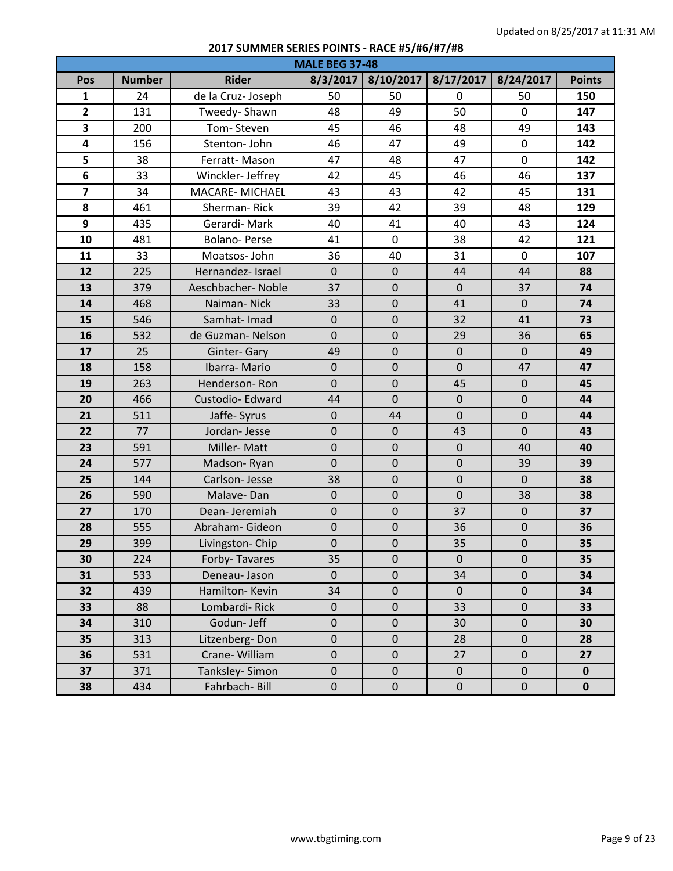| <b>MALE BEG 37-48</b>   |               |                       |             |                  |                |                  |               |  |  |
|-------------------------|---------------|-----------------------|-------------|------------------|----------------|------------------|---------------|--|--|
| Pos                     | <b>Number</b> | <b>Rider</b>          | 8/3/2017    | 8/10/2017        | 8/17/2017      | 8/24/2017        | <b>Points</b> |  |  |
| $\mathbf{1}$            | 24            | de la Cruz-Joseph     | 50          | 50               | $\Omega$       | 50               | 150           |  |  |
| $\overline{2}$          | 131           | Tweedy-Shawn          | 48          | 49               | 50             | $\mathbf{0}$     | 147           |  |  |
| 3                       | 200           | Tom-Steven            | 45          | 46               | 48             | 49               | 143           |  |  |
| $\overline{\mathbf{4}}$ | 156           | Stenton- John         | 46          | 47               | 49             | $\mathbf 0$      | 142           |  |  |
| 5                       | 38            | Ferratt-Mason         | 47          | 48               | 47             | $\mathbf 0$      | 142           |  |  |
| 6                       | 33            | Winckler- Jeffrey     | 42          | 45               | 46             | 46               | 137           |  |  |
| $\overline{\mathbf{z}}$ | 34            | <b>MACARE-MICHAEL</b> | 43          | 43               | 42             | 45               | 131           |  |  |
| 8                       | 461           | <b>Sherman-Rick</b>   | 39          | 42               | 39             | 48               | 129           |  |  |
| 9                       | 435           | Gerardi-Mark          | 40          | 41               | 40             | 43               | 124           |  |  |
| 10                      | 481           | <b>Bolano-Perse</b>   | 41          | $\mathbf 0$      | 38             | 42               | 121           |  |  |
| 11                      | 33            | Moatsos-John          | 36          | 40               | 31             | $\mathbf 0$      | 107           |  |  |
| 12                      | 225           | Hernandez- Israel     | $\mathbf 0$ | $\mathbf 0$      | 44             | 44               | 88            |  |  |
| 13                      | 379           | Aeschbacher-Noble     | 37          | $\mathbf 0$      | $\mathbf{0}$   | 37               | 74            |  |  |
| 14                      | 468           | Naiman-Nick           | 33          | $\boldsymbol{0}$ | 41             | $\mathbf{0}$     | 74            |  |  |
| 15                      | 546           | Samhat-Imad           | $\mathbf 0$ | $\mathbf 0$      | 32             | 41               | 73            |  |  |
| 16                      | 532           | de Guzman-Nelson      | $\mathbf 0$ | $\pmb{0}$        | 29             | 36               | 65            |  |  |
| 17                      | 25            | Ginter-Gary           | 49          | $\mathbf 0$      | $\mathbf 0$    | $\mathbf{0}$     | 49            |  |  |
| 18                      | 158           | Ibarra-Mario          | $\mathbf 0$ | $\mathbf 0$      | $\overline{0}$ | 47               | 47            |  |  |
| 19                      | 263           | Henderson-Ron         | $\mathbf 0$ | $\mathbf 0$      | 45             | $\mathbf{0}$     | 45            |  |  |
| 20                      | 466           | Custodio-Edward       | 44          | $\mathbf 0$      | $\mathbf 0$    | $\mathbf 0$      | 44            |  |  |
| 21                      | 511           | Jaffe- Syrus          | $\pmb{0}$   | 44               | $\mathbf 0$    | $\mathbf 0$      | 44            |  |  |
| 22                      | 77            | Jordan-Jesse          | $\mathbf 0$ | $\mathbf 0$      | 43             | $\overline{0}$   | 43            |  |  |
| 23                      | 591           | Miller-Matt           | $\mathbf 0$ | $\mathbf 0$      | $\pmb{0}$      | 40               | 40            |  |  |
| 24                      | 577           | Madson-Ryan           | $\mathbf 0$ | $\mathbf 0$      | $\mathbf 0$    | 39               | 39            |  |  |
| 25                      | 144           | Carlson-Jesse         | 38          | $\mathbf 0$      | $\mathbf 0$    | $\mathbf{0}$     | 38            |  |  |
| 26                      | 590           | Malave-Dan            | $\pmb{0}$   | $\mathbf 0$      | $\mathbf 0$    | 38               | 38            |  |  |
| 27                      | 170           | Dean-Jeremiah         | $\mathbf 0$ | $\mathbf 0$      | 37             | $\mathbf 0$      | 37            |  |  |
| 28                      | 555           | Abraham- Gideon       | $\pmb{0}$   | $\mathbf 0$      | 36             | $\pmb{0}$        | 36            |  |  |
| 29                      | 399           | Livingston-Chip       | $\mathbf 0$ | $\mathbf 0$      | 35             | $\mathbf 0$      | 35            |  |  |
| 30                      | 224           | Forby-Tavares         | 35          | $\pmb{0}$        | $\pmb{0}$      | $\pmb{0}$        | 35            |  |  |
| 31                      | 533           | Deneau- Jason         | $\mathbf 0$ | $\pmb{0}$        | 34             | $\pmb{0}$        | 34            |  |  |
| 32                      | 439           | Hamilton-Kevin        | 34          | $\pmb{0}$        | $\pmb{0}$      | $\mathbf 0$      | 34            |  |  |
| 33                      | 88            | Lombardi-Rick         | $\pmb{0}$   | $\pmb{0}$        | 33             | $\pmb{0}$        | 33            |  |  |
| 34                      | 310           | Godun- Jeff           | $\pmb{0}$   | $\mathbf 0$      | 30             | $\pmb{0}$        | 30            |  |  |
| 35                      | 313           | Litzenberg-Don        | $\pmb{0}$   | $\pmb{0}$        | 28             | $\pmb{0}$        | 28            |  |  |
| 36                      | 531           | Crane-William         | $\pmb{0}$   | $\mathbf 0$      | 27             | $\mathbf 0$      | 27            |  |  |
| 37                      | 371           | Tanksley-Simon        | $\pmb{0}$   | $\boldsymbol{0}$ | $\pmb{0}$      | $\mathbf{0}$     | $\mathbf 0$   |  |  |
| 38                      | 434           | Fahrbach-Bill         | $\pmb{0}$   | $\pmb{0}$        | $\pmb{0}$      | $\boldsymbol{0}$ | $\mathbf 0$   |  |  |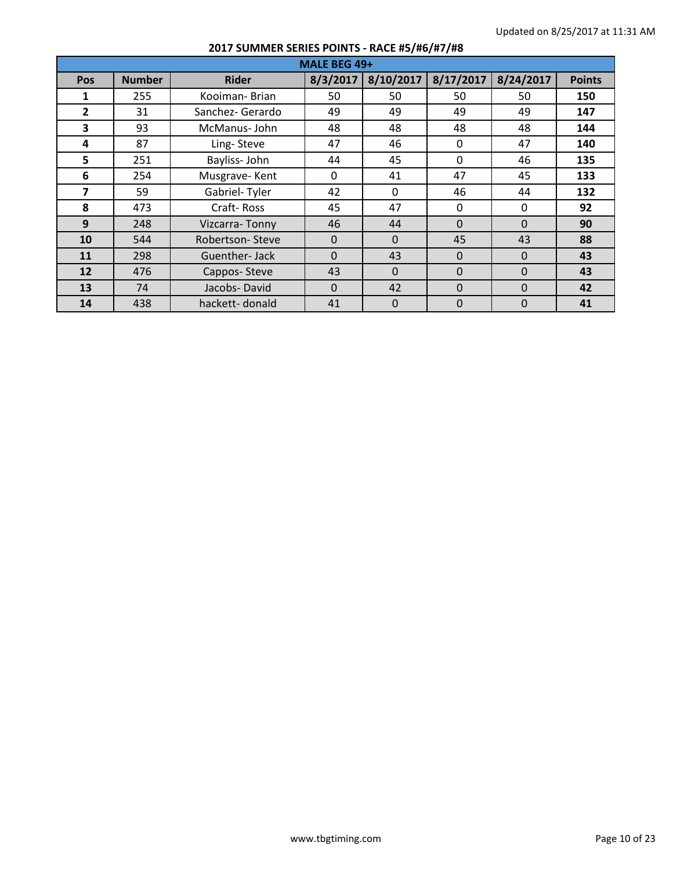|                         | MALE BEG 49+  |                  |          |              |              |           |               |  |  |  |  |
|-------------------------|---------------|------------------|----------|--------------|--------------|-----------|---------------|--|--|--|--|
| Pos                     | <b>Number</b> | <b>Rider</b>     | 8/3/2017 | 8/10/2017    | 8/17/2017    | 8/24/2017 | <b>Points</b> |  |  |  |  |
| 1                       | 255           | Kooiman-Brian    | 50       | 50           | 50           | 50        | 150           |  |  |  |  |
| $\overline{2}$          | 31            | Sanchez- Gerardo | 49       | 49           | 49           | 49        | 147           |  |  |  |  |
| 3                       | 93            | McManus-John     | 48       | 48           | 48           | 48        | 144           |  |  |  |  |
| 4                       | 87            | Ling-Steve       | 47       | 46           | 0            | 47        | 140           |  |  |  |  |
| 5                       | 251           | Bayliss-John     | 44       | 45           | $\Omega$     | 46        | 135           |  |  |  |  |
| 6                       | 254           | Musgrave-Kent    | $\Omega$ | 41           | 47           | 45        | 133           |  |  |  |  |
| $\overline{\mathbf{z}}$ | 59            | Gabriel-Tyler    | 42       | $\mathbf{0}$ | 46           | 44        | 132           |  |  |  |  |
| 8                       | 473           | Craft-Ross       | 45       | 47           | $\mathbf{0}$ | $\Omega$  | 92            |  |  |  |  |
| 9                       | 248           | Vizcarra-Tonny   | 46       | 44           | $\Omega$     | $\Omega$  | 90            |  |  |  |  |
| 10                      | 544           | Robertson-Steve  | $\Omega$ | $\Omega$     | 45           | 43        | 88            |  |  |  |  |
| 11                      | 298           | Guenther-Jack    | $\Omega$ | 43           | $\Omega$     | $\Omega$  | 43            |  |  |  |  |
| 12                      | 476           | Cappos-Steve     | 43       | $\Omega$     | $\Omega$     | $\Omega$  | 43            |  |  |  |  |
| 13                      | 74            | Jacobs-David     | $\Omega$ | 42           | $\Omega$     | $\Omega$  | 42            |  |  |  |  |
| 14                      | 438           | hackett-donald   | 41       | $\Omega$     | $\mathbf{0}$ | $\Omega$  | 41            |  |  |  |  |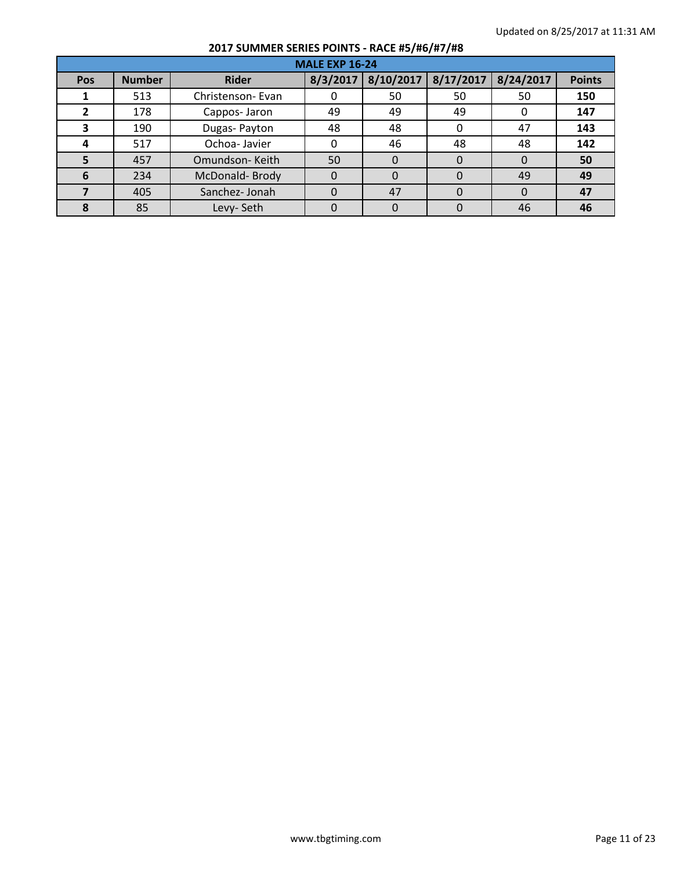|            | <b>MALE EXP 16-24</b> |                  |          |           |           |           |               |  |  |  |
|------------|-----------------------|------------------|----------|-----------|-----------|-----------|---------------|--|--|--|
| <b>Pos</b> | <b>Number</b>         | <b>Rider</b>     | 8/3/2017 | 8/10/2017 | 8/17/2017 | 8/24/2017 | <b>Points</b> |  |  |  |
|            | 513                   | Christenson-Evan |          | 50        | 50        | 50        | 150           |  |  |  |
| 2          | 178                   | Cappos-Jaron     | 49       | 49        | 49        | -0        | 147           |  |  |  |
|            | 190                   | Dugas-Payton     | 48       | 48        | 0         | 47        | 143           |  |  |  |
| 4          | 517                   | Ochoa-Javier     |          | 46        | 48        | 48        | 142           |  |  |  |
|            | 457                   | Omundson-Keith   | 50       | 0         | 0         | $\Omega$  | 50            |  |  |  |
| 6          | 234                   | McDonald-Brody   |          | 0         | 0         | 49        | 49            |  |  |  |
|            | 405                   | Sanchez-Jonah    |          | 47        | 0         | $\Omega$  | 47            |  |  |  |
|            | 85                    | Levy-Seth        |          | O         | $\Omega$  | 46        | 46            |  |  |  |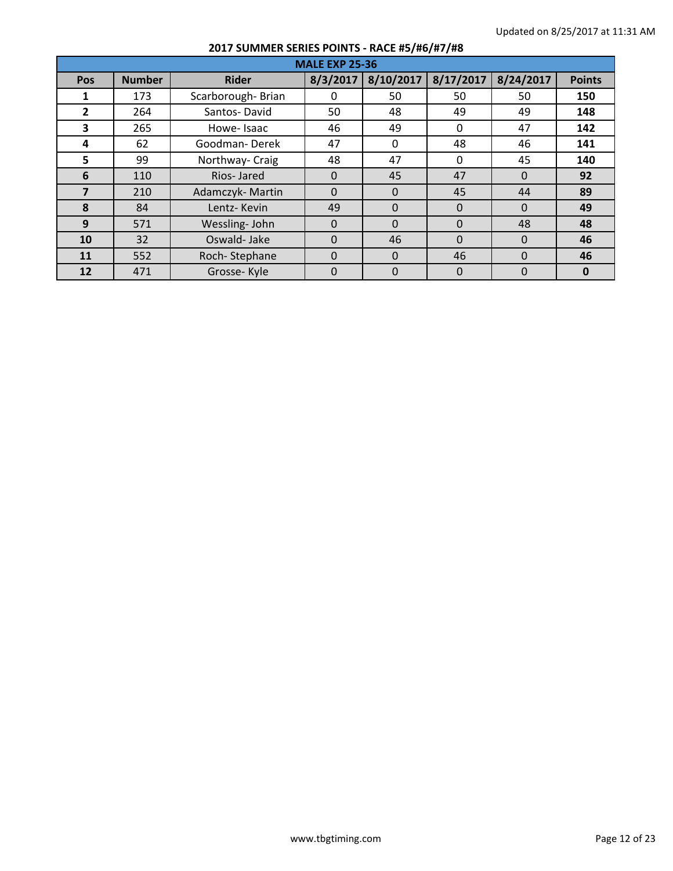|                | <b>MALE EXP 25-36</b> |                   |          |             |             |           |               |  |  |  |
|----------------|-----------------------|-------------------|----------|-------------|-------------|-----------|---------------|--|--|--|
| Pos            | <b>Number</b>         | <b>Rider</b>      | 8/3/2017 | 8/10/2017   | 8/17/2017   | 8/24/2017 | <b>Points</b> |  |  |  |
| 1              | 173                   | Scarborough-Brian | 0        | 50          | 50          | 50        | 150           |  |  |  |
| $\overline{2}$ | 264                   | Santos-David      | 50       | 48          | 49          | 49        | 148           |  |  |  |
| 3              | 265                   | Howe-Isaac        | 46       | 49          | 0           | 47        | 142           |  |  |  |
| 4              | 62                    | Goodman-Derek     | 47       | $\Omega$    | 48          | 46        | 141           |  |  |  |
| 5              | 99                    | Northway- Craig   | 48       | 47          | $\Omega$    | 45        | 140           |  |  |  |
| 6              | 110                   | Rios-Jared        | $\Omega$ | 45          | 47          | $\Omega$  | 92            |  |  |  |
| $\overline{7}$ | 210                   | Adamczyk-Martin   | $\Omega$ | $\Omega$    | 45          | 44        | 89            |  |  |  |
| 8              | 84                    | Lentz-Kevin       | 49       | $\Omega$    | $\Omega$    | $\Omega$  | 49            |  |  |  |
| 9              | 571                   | Wessling-John     | $\Omega$ | $\Omega$    | $\Omega$    | 48        | 48            |  |  |  |
| 10             | 32                    | Oswald-Jake       | $\Omega$ | 46          | $\Omega$    | $\Omega$  | 46            |  |  |  |
| 11             | 552                   | Roch-Stephane     | $\Omega$ | $\Omega$    | 46          | $\Omega$  | 46            |  |  |  |
| 12             | 471                   | Grosse-Kyle       | $\Omega$ | $\mathbf 0$ | $\mathbf 0$ | $\Omega$  | $\mathbf{0}$  |  |  |  |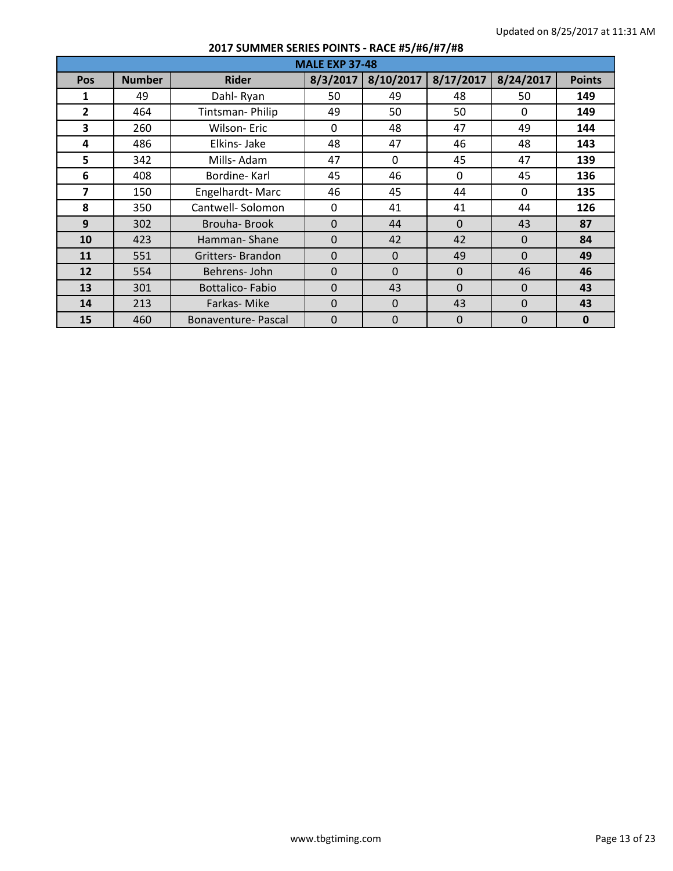|                | <b>MALE EXP 37-48</b> |                        |                |           |              |           |               |  |  |  |  |  |
|----------------|-----------------------|------------------------|----------------|-----------|--------------|-----------|---------------|--|--|--|--|--|
| <b>Pos</b>     | <b>Number</b>         | <b>Rider</b>           | 8/3/2017       | 8/10/2017 | 8/17/2017    | 8/24/2017 | <b>Points</b> |  |  |  |  |  |
| 1              | 49                    | Dahl-Ryan              | 50             | 49        | 48           | 50        | 149           |  |  |  |  |  |
| $\overline{2}$ | 464                   | Tintsman-Philip        | 49             | 50        | 50           | $\Omega$  | 149           |  |  |  |  |  |
| 3              | 260                   | <b>Wilson-Eric</b>     | $\Omega$       | 48        | 47           | 49        | 144           |  |  |  |  |  |
| 4              | 486                   | Elkins-Jake            | 48             | 47        | 46           | 48        | 143           |  |  |  |  |  |
| 5              | 342                   | Mills-Adam             | 47             | $\Omega$  | 45           | 47        | 139           |  |  |  |  |  |
| 6              | 408                   | Bordine-Karl           | 45             | 46        | $\mathbf{0}$ | 45        | 136           |  |  |  |  |  |
| 7              | 150                   | Engelhardt-Marc        | 46             | 45        | 44           | $\Omega$  | 135           |  |  |  |  |  |
| 8              | 350                   | Cantwell-Solomon       | 0              | 41        | 41           | 44        | 126           |  |  |  |  |  |
| 9              | 302                   | Brouha-Brook           | $\Omega$       | 44        | $\Omega$     | 43        | 87            |  |  |  |  |  |
| 10             | 423                   | Hamman-Shane           | $\overline{0}$ | 42        | 42           | $\Omega$  | 84            |  |  |  |  |  |
| 11             | 551                   | Gritters-Brandon       | $\Omega$       | $\Omega$  | 49           | $\Omega$  | 49            |  |  |  |  |  |
| 12             | 554                   | Behrens-John           | $\mathbf 0$    | $\Omega$  | $\Omega$     | 46        | 46            |  |  |  |  |  |
| 13             | 301                   | <b>Bottalico-Fabio</b> | $\Omega$       | 43        | $\Omega$     | $\Omega$  | 43            |  |  |  |  |  |
| 14             | 213                   | Farkas-Mike            | $\Omega$       | $\Omega$  | 43           | $\Omega$  | 43            |  |  |  |  |  |
| 15             | 460                   | Bonaventure-Pascal     | $\Omega$       | $\Omega$  | $\mathbf 0$  | 0         | $\mathbf{0}$  |  |  |  |  |  |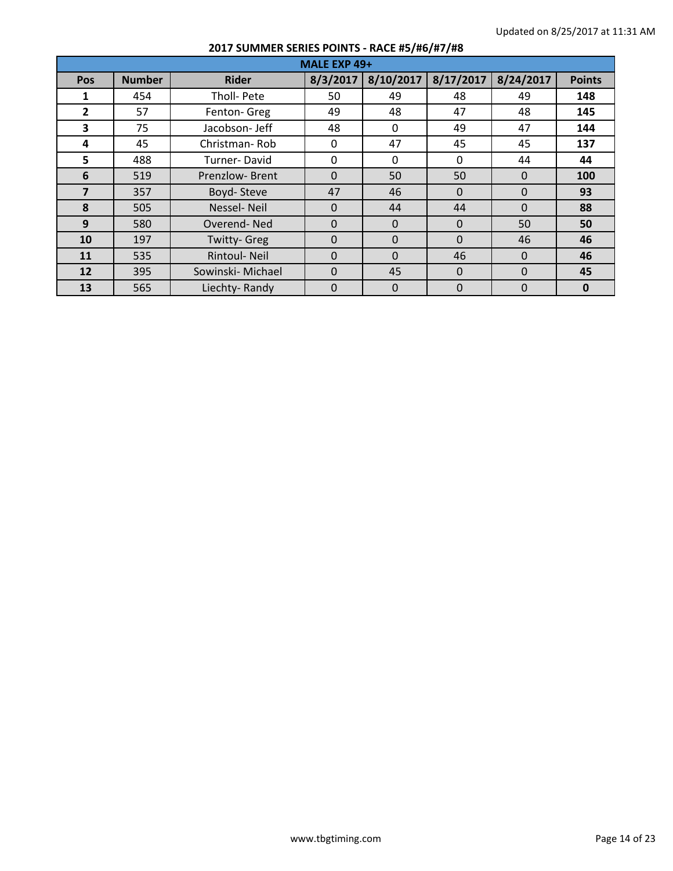|                         | MALE EXP 49+  |                     |          |           |             |           |               |  |  |  |  |  |
|-------------------------|---------------|---------------------|----------|-----------|-------------|-----------|---------------|--|--|--|--|--|
| Pos                     | <b>Number</b> | <b>Rider</b>        | 8/3/2017 | 8/10/2017 | 8/17/2017   | 8/24/2017 | <b>Points</b> |  |  |  |  |  |
| 1                       | 454           | Tholl- Pete         | 50       | 49        | 48          | 49        | 148           |  |  |  |  |  |
| $\mathbf{2}$            | 57            | Fenton- Greg        | 49       | 48        | 47          | 48        | 145           |  |  |  |  |  |
| $\overline{\mathbf{3}}$ | 75            | Jacobson-Jeff       | 48       | $\Omega$  | 49          | 47        | 144           |  |  |  |  |  |
| 4                       | 45            | Christman-Rob       | 0        | 47        | 45          | 45        | 137           |  |  |  |  |  |
| 5                       | 488           | Turner-David        | 0        | $\Omega$  | $\Omega$    | 44        | 44            |  |  |  |  |  |
| 6                       | 519           | Prenzlow-Brent      | $\Omega$ | 50        | 50          | $\Omega$  | 100           |  |  |  |  |  |
| $\overline{ }$          | 357           | Boyd-Steve          | 47       | 46        | $\Omega$    | $\Omega$  | 93            |  |  |  |  |  |
| 8                       | 505           | Nessel-Neil         | $\Omega$ | 44        | 44          | $\Omega$  | 88            |  |  |  |  |  |
| 9                       | 580           | Overend-Ned         | $\Omega$ | $\Omega$  | $\Omega$    | 50        | 50            |  |  |  |  |  |
| 10                      | 197           | <b>Twitty-Greg</b>  | $\Omega$ | $\Omega$  | $\Omega$    | 46        | 46            |  |  |  |  |  |
| 11                      | 535           | <b>Rintoul-Neil</b> | $\Omega$ | $\Omega$  | 46          | $\Omega$  | 46            |  |  |  |  |  |
| 12                      | 395           | Sowinski- Michael   | $\Omega$ | 45        | $\mathbf 0$ | $\Omega$  | 45            |  |  |  |  |  |
| 13                      | 565           | Liechty-Randy       | 0        | $\Omega$  | $\Omega$    | $\Omega$  | $\bf{0}$      |  |  |  |  |  |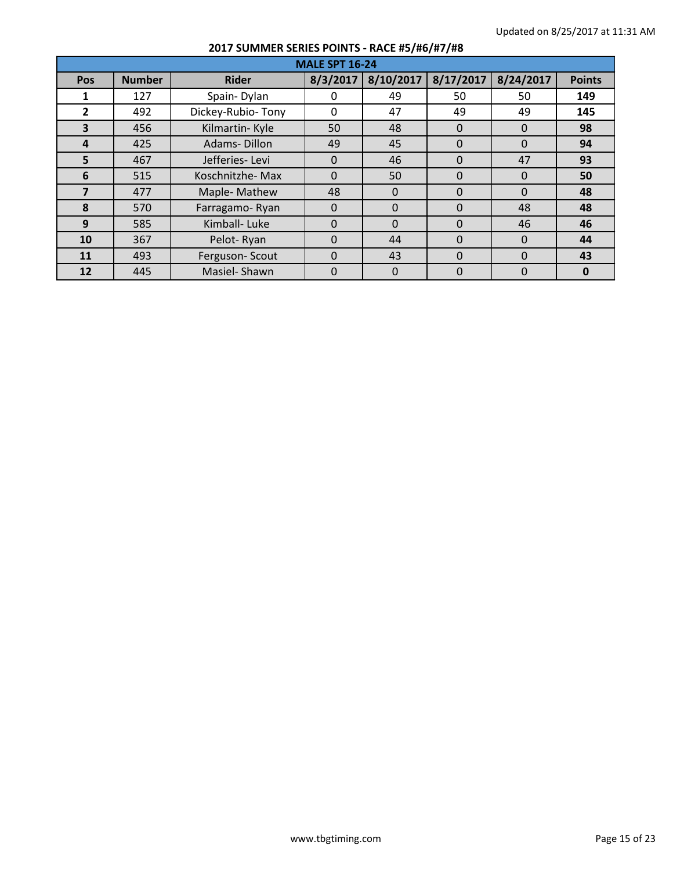|                | <b>MALE SPT 16-24</b> |                   |                |                |           |             |               |  |  |  |  |
|----------------|-----------------------|-------------------|----------------|----------------|-----------|-------------|---------------|--|--|--|--|
| Pos            | <b>Number</b>         | <b>Rider</b>      | 8/3/2017       | 8/10/2017      | 8/17/2017 | 8/24/2017   | <b>Points</b> |  |  |  |  |
| 1              | 127                   | Spain-Dylan       | 0              | 49             | 50        | 50          | 149           |  |  |  |  |
| $\overline{2}$ | 492                   | Dickey-Rubio-Tony | $\Omega$       | 47             | 49        | 49          | 145           |  |  |  |  |
| 3              | 456                   | Kilmartin-Kyle    | 50             | 48             | $\Omega$  | $\Omega$    | 98            |  |  |  |  |
| 4              | 425                   | Adams-Dillon      | 49             | 45             | $\Omega$  | $\Omega$    | 94            |  |  |  |  |
| 5              | 467                   | Jefferies-Levi    | $\Omega$       | 46             | $\Omega$  | 47          | 93            |  |  |  |  |
| 6              | 515                   | Koschnitzhe-Max   | $\Omega$       | 50             | $\Omega$  | $\theta$    | 50            |  |  |  |  |
| 7              | 477                   | Maple-Mathew      | 48             | $\Omega$       | 0         | $\Omega$    | 48            |  |  |  |  |
| 8              | 570                   | Farragamo-Ryan    | $\Omega$       | $\Omega$       | $\Omega$  | 48          | 48            |  |  |  |  |
| 9              | 585                   | Kimball-Luke      | $\Omega$       | $\Omega$       | $\Omega$  | 46          | 46            |  |  |  |  |
| 10             | 367                   | Pelot-Ryan        | $\Omega$       | 44             | $\Omega$  | $\Omega$    | 44            |  |  |  |  |
| 11             | 493                   | Ferguson-Scout    | $\Omega$       | 43             | 0         | $\Omega$    | 43            |  |  |  |  |
| 12             | 445                   | Masiel-Shawn      | $\overline{0}$ | $\overline{0}$ | 0         | $\mathbf 0$ | $\mathbf 0$   |  |  |  |  |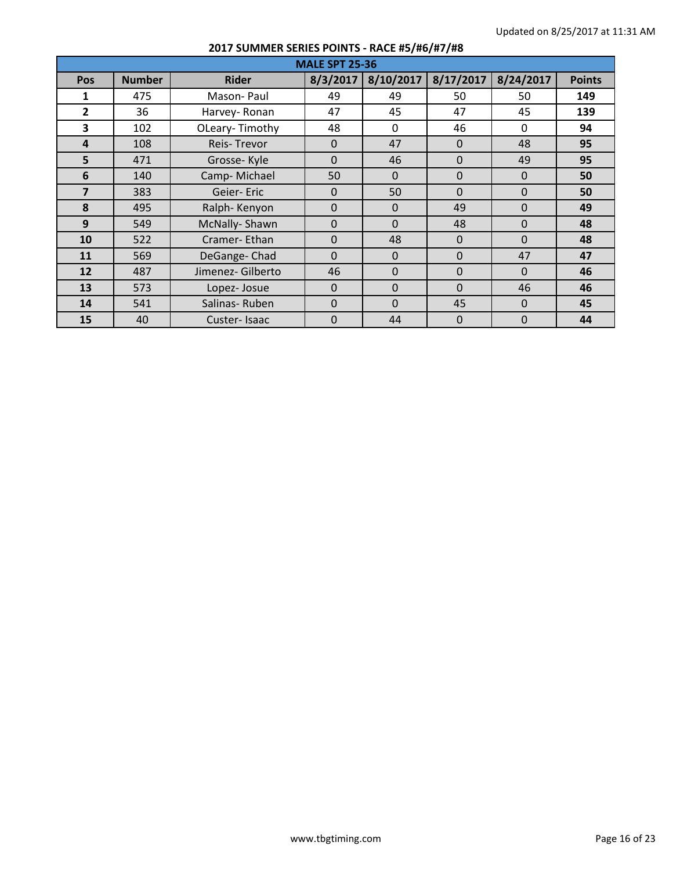|                | <b>MALE SPT 25-36</b> |                   |              |           |              |              |               |  |  |  |  |  |
|----------------|-----------------------|-------------------|--------------|-----------|--------------|--------------|---------------|--|--|--|--|--|
| Pos            | <b>Number</b>         | <b>Rider</b>      | 8/3/2017     | 8/10/2017 | 8/17/2017    | 8/24/2017    | <b>Points</b> |  |  |  |  |  |
| 1              | 475                   | Mason-Paul        | 49           | 49        | 50           | 50           | 149           |  |  |  |  |  |
| $\overline{2}$ | 36                    | Harvey-Ronan      | 47           | 45        | 47           | 45           | 139           |  |  |  |  |  |
| 3              | 102                   | OLeary-Timothy    | 48           | $\Omega$  | 46           | $\mathbf{0}$ | 94            |  |  |  |  |  |
| 4              | 108                   | Reis-Trevor       | $\mathbf{0}$ | 47        | $\Omega$     | 48           | 95            |  |  |  |  |  |
| 5              | 471                   | Grosse-Kyle       | $\mathbf{0}$ | 46        | $\mathbf{0}$ | 49           | 95            |  |  |  |  |  |
| 6              | 140                   | Camp-Michael      | 50           | $\Omega$  | $\Omega$     | $\Omega$     | 50            |  |  |  |  |  |
| $\overline{7}$ | 383                   | Geier-Eric        | $\Omega$     | 50        | $\Omega$     | $\Omega$     | 50            |  |  |  |  |  |
| 8              | 495                   | Ralph-Kenyon      | $\Omega$     | $\Omega$  | 49           | $\Omega$     | 49            |  |  |  |  |  |
| 9              | 549                   | McNally-Shawn     | $\Omega$     | $\Omega$  | 48           | $\Omega$     | 48            |  |  |  |  |  |
| 10             | 522                   | Cramer-Ethan      | $\mathbf{0}$ | 48        | $\mathbf{0}$ | $\mathbf{0}$ | 48            |  |  |  |  |  |
| 11             | 569                   | DeGange-Chad      | $\Omega$     | $\Omega$  | $\Omega$     | 47           | 47            |  |  |  |  |  |
| 12             | 487                   | Jimenez- Gilberto | 46           | $\Omega$  | $\Omega$     | $\Omega$     | 46            |  |  |  |  |  |
| 13             | 573                   | Lopez-Josue       | $\Omega$     | $\Omega$  | $\Omega$     | 46           | 46            |  |  |  |  |  |
| 14             | 541                   | Salinas-Ruben     | $\Omega$     | $\Omega$  | 45           | $\Omega$     | 45            |  |  |  |  |  |
| 15             | 40                    | Custer-Isaac      | $\Omega$     | 44        | $\mathbf 0$  | 0            | 44            |  |  |  |  |  |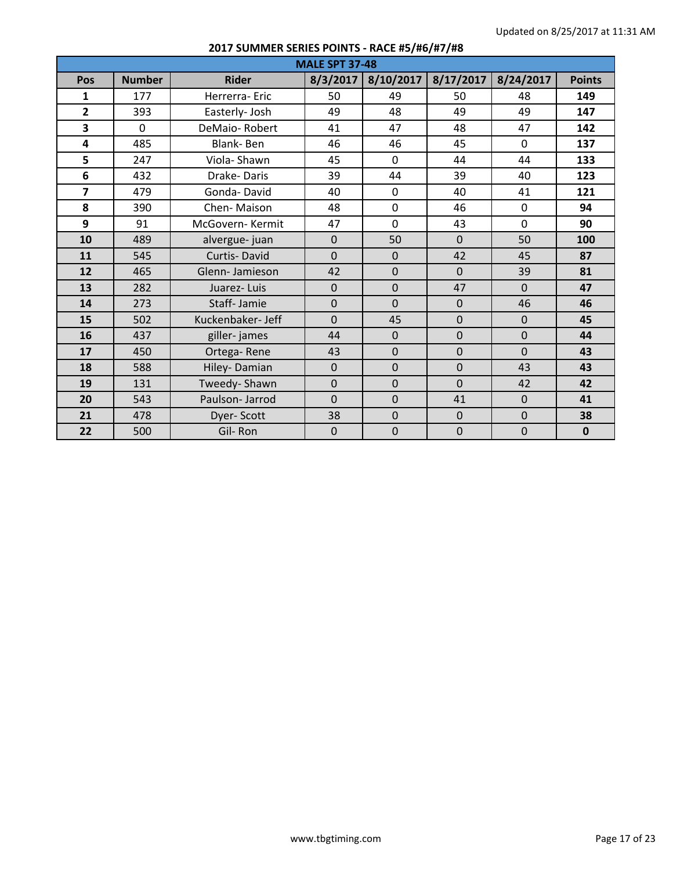|                         |               |                   | <b>MALE SPT 37-48</b> |                |                |              |               |
|-------------------------|---------------|-------------------|-----------------------|----------------|----------------|--------------|---------------|
| Pos                     | <b>Number</b> | <b>Rider</b>      | 8/3/2017              | 8/10/2017      | 8/17/2017      | 8/24/2017    | <b>Points</b> |
| 1                       | 177           | Herrerra-Eric     | 50                    | 49             | 50             | 48           | 149           |
| $\overline{2}$          | 393           | Easterly- Josh    | 49                    | 48             | 49             | 49           | 147           |
| 3                       | $\mathbf 0$   | DeMaio-Robert     | 41                    | 47             | 48             | 47           | 142           |
| $\overline{\mathbf{4}}$ | 485           | Blank-Ben         | 46                    | 46             | 45             | $\mathbf{0}$ | 137           |
| 5                       | 247           | Viola-Shawn       | 45                    | $\mathbf 0$    | 44             | 44           | 133           |
| 6                       | 432           | Drake-Daris       | 39                    | 44             | 39             | 40           | 123           |
| $\overline{7}$          | 479           | Gonda-David       | 40                    | $\mathbf 0$    | 40             | 41           | 121           |
| 8                       | 390           | Chen-Maison       | 48                    | $\mathbf 0$    | 46             | $\mathbf{0}$ | 94            |
| 9                       | 91            | McGovern-Kermit   | 47                    | $\mathbf 0$    | 43             | $\mathbf{0}$ | 90            |
| 10                      | 489           | alvergue- juan    | $\mathbf{0}$          | 50             | $\Omega$       | 50           | 100           |
| 11                      | 545           | Curtis-David      | $\overline{0}$        | $\mathbf{0}$   | 42             | 45           | 87            |
| 12                      | 465           | Glenn-Jamieson    | 42                    | $\mathbf{0}$   | $\mathbf{0}$   | 39           | 81            |
| 13                      | 282           | Juarez-Luis       | $\overline{0}$        | $\overline{0}$ | 47             | $\Omega$     | 47            |
| 14                      | 273           | Staff-Jamie       | $\mathbf 0$           | $\mathbf 0$    | $\mathbf 0$    | 46           | 46            |
| 15                      | 502           | Kuckenbaker- Jeff | $\overline{0}$        | 45             | $\overline{0}$ | $\mathbf{0}$ | 45            |
| 16                      | 437           | giller-james      | 44                    | $\mathbf 0$    | $\overline{0}$ | $\mathbf 0$  | 44            |
| 17                      | 450           | Ortega-Rene       | 43                    | $\mathbf 0$    | $\mathbf 0$    | $\mathbf{0}$ | 43            |
| 18                      | 588           | Hiley-Damian      | $\overline{0}$        | $\overline{0}$ | $\overline{0}$ | 43           | 43            |
| 19                      | 131           | Tweedy-Shawn      | $\overline{0}$        | $\overline{0}$ | $\overline{0}$ | 42           | 42            |
| 20                      | 543           | Paulson- Jarrod   | $\overline{0}$        | $\overline{0}$ | 41             | $\mathbf{0}$ | 41            |
| 21                      | 478           | Dyer-Scott        | 38                    | $\mathbf 0$    | $\mathbf 0$    | $\mathbf 0$  | 38            |
| 22                      | 500           | Gil-Ron           | $\overline{0}$        | $\mathbf 0$    | $\mathbf 0$    | $\mathbf 0$  | $\mathbf{0}$  |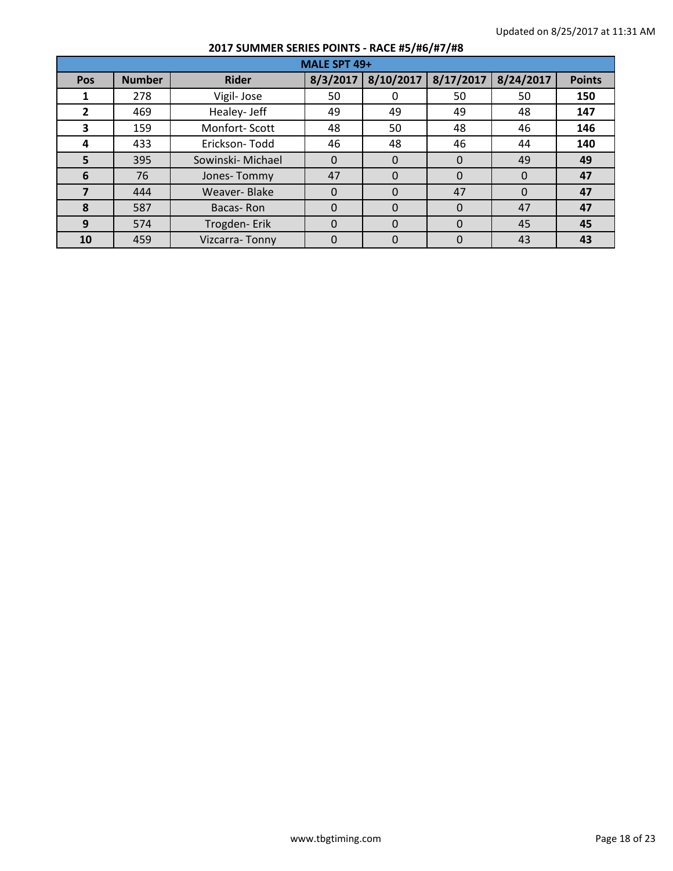|              | MALE SPT 49+  |                   |          |           |           |           |               |  |  |  |  |
|--------------|---------------|-------------------|----------|-----------|-----------|-----------|---------------|--|--|--|--|
| Pos          | <b>Number</b> | <b>Rider</b>      | 8/3/2017 | 8/10/2017 | 8/17/2017 | 8/24/2017 | <b>Points</b> |  |  |  |  |
|              | 278           | Vigil-Jose        | 50       |           | 50        | 50        | 150           |  |  |  |  |
| $\mathbf{2}$ | 469           | Healey- Jeff      | 49       | 49        | 49        | 48        | 147           |  |  |  |  |
| 3            | 159           | Monfort-Scott     | 48       | 50        | 48        | 46        | 146           |  |  |  |  |
| 4            | 433           | Erickson-Todd     | 46       | 48        | 46        | 44        | 140           |  |  |  |  |
| 5            | 395           | Sowinski- Michael | 0        | $\Omega$  | $\Omega$  | 49        | 49            |  |  |  |  |
| 6            | 76            | Jones-Tommy       | 47       | $\Omega$  | $\Omega$  | $\Omega$  | 47            |  |  |  |  |
| 7            | 444           | Weaver-Blake      | $\Omega$ | $\Omega$  | 47        | $\Omega$  | 47            |  |  |  |  |
| 8            | 587           | Bacas-Ron         | 0        | $\Omega$  | $\Omega$  | 47        | 47            |  |  |  |  |
| 9            | 574           | Trogden-Erik      | 0        | $\Omega$  | $\Omega$  | 45        | 45            |  |  |  |  |
| 10           | 459           | Vizcarra-Tonny    | 0        | 0         | 0         | 43        | 43            |  |  |  |  |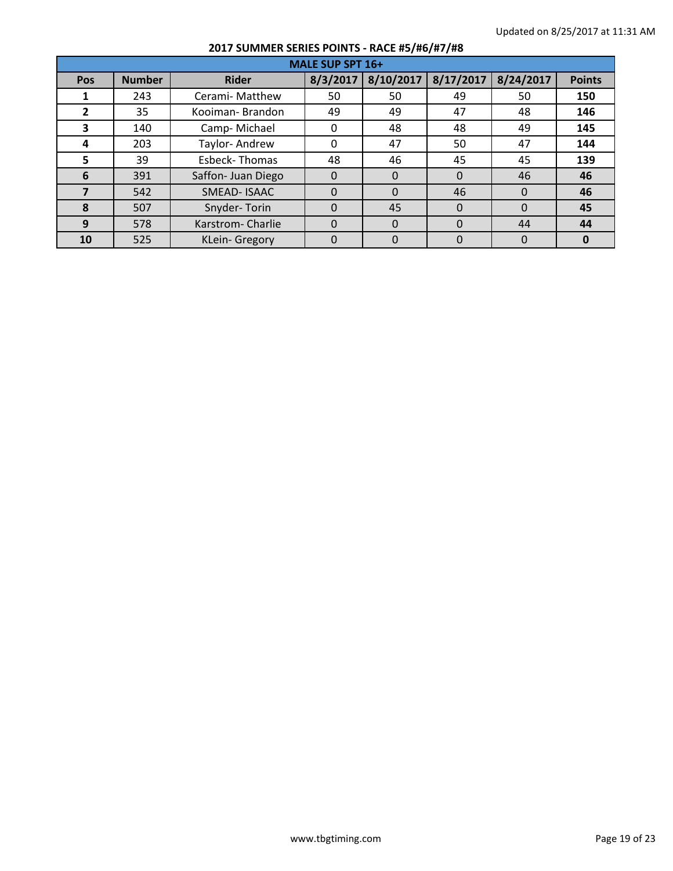|     | <b>MALE SUP SPT 16+</b> |                    |          |           |           |           |               |  |  |  |  |
|-----|-------------------------|--------------------|----------|-----------|-----------|-----------|---------------|--|--|--|--|
| Pos | <b>Number</b>           | <b>Rider</b>       | 8/3/2017 | 8/10/2017 | 8/17/2017 | 8/24/2017 | <b>Points</b> |  |  |  |  |
|     | 243                     | Cerami- Matthew    | 50       | 50        | 49        | 50        | 150           |  |  |  |  |
| 2   | 35                      | Kooiman-Brandon    | 49       | 49        | 47        | 48        | 146           |  |  |  |  |
| 3   | 140                     | Camp-Michael       | 0        | 48        | 48        | 49        | 145           |  |  |  |  |
| 4   | 203                     | Taylor-Andrew      | 0        | 47        | 50        | 47        | 144           |  |  |  |  |
| 5   | 39                      | Esbeck-Thomas      | 48       | 46        | 45        | 45        | 139           |  |  |  |  |
| 6   | 391                     | Saffon- Juan Diego | 0        | $\Omega$  | $\Omega$  | 46        | 46            |  |  |  |  |
|     | 542                     | SMEAD-ISAAC        | 0        | $\Omega$  | 46        | $\Omega$  | 46            |  |  |  |  |
| 8   | 507                     | Snyder-Torin       | 0        | 45        | $\Omega$  | $\Omega$  | 45            |  |  |  |  |
| 9   | 578                     | Karstrom-Charlie   | 0        | $\Omega$  | $\Omega$  | 44        | 44            |  |  |  |  |
| 10  | 525                     | KLein- Gregory     | 0        |           | 0         | $\Omega$  |               |  |  |  |  |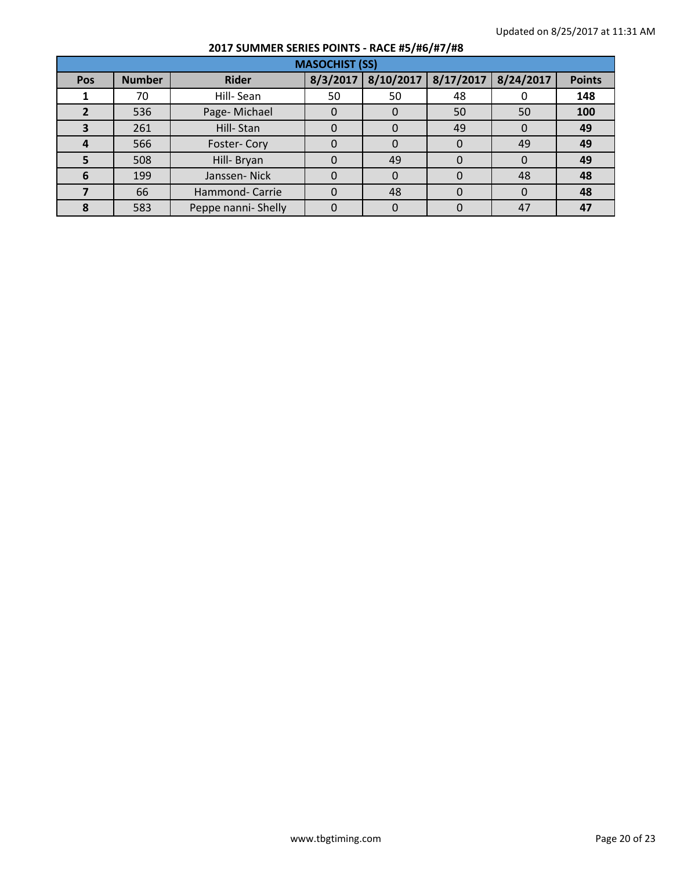|     | <b>MASOCHIST (SS)</b> |                     |          |           |              |           |               |  |  |  |  |
|-----|-----------------------|---------------------|----------|-----------|--------------|-----------|---------------|--|--|--|--|
| Pos | <b>Number</b>         | <b>Rider</b>        | 8/3/2017 | 8/10/2017 | 8/17/2017    | 8/24/2017 | <b>Points</b> |  |  |  |  |
|     | 70                    | Hill-Sean           | 50       | 50        | 48           |           | 148           |  |  |  |  |
|     | 536                   | Page-Michael        |          |           | 50           | 50        | 100           |  |  |  |  |
| З   | 261                   | Hill-Stan           |          |           | 49           | $\Omega$  | 49            |  |  |  |  |
| 4   | 566                   | Foster-Cory         |          |           | $\Omega$     | 49        | 49            |  |  |  |  |
| 5   | 508                   | Hill- Bryan         | 0        | 49        | $\Omega$     | 0         | 49            |  |  |  |  |
| 6   | 199                   | Janssen-Nick        |          |           |              | 48        | 48            |  |  |  |  |
|     | 66                    | Hammond- Carrie     |          | 48        | 0            | $\Omega$  | 48            |  |  |  |  |
|     | 583                   | Peppe nanni- Shelly |          |           | $\mathbf{0}$ | 47        | 47            |  |  |  |  |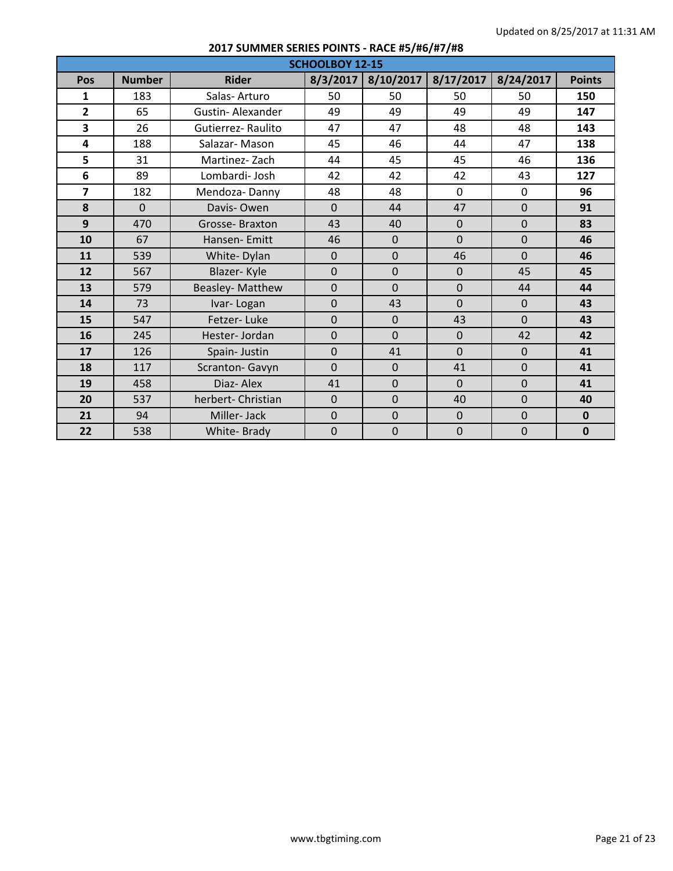|                |               |                          | <b>SCHOOLBOY 12-15</b> |                |                |                |               |
|----------------|---------------|--------------------------|------------------------|----------------|----------------|----------------|---------------|
| Pos            | <b>Number</b> | <b>Rider</b>             | 8/3/2017               | 8/10/2017      | 8/17/2017      | 8/24/2017      | <b>Points</b> |
| 1              | 183           | Salas-Arturo             | 50                     | 50             | 50             | 50             | 150           |
| $\overline{2}$ | 65            | <b>Gustin-Alexander</b>  | 49                     | 49             | 49             | 49             | 147           |
| 3              | 26            | <b>Gutierrez-Raulito</b> | 47                     | 47             | 48             | 48             | 143           |
| 4              | 188           | Salazar-Mason            | 45                     | 46             | 44             | 47             | 138           |
| 5              | 31            | Martinez-Zach            | 44                     | 45             | 45             | 46             | 136           |
| 6              | 89            | Lombardi-Josh            | 42                     | 42             | 42             | 43             | 127           |
| $\overline{7}$ | 182           | Mendoza-Danny            | 48                     | 48             | $\mathbf 0$    | $\mathbf 0$    | 96            |
| 8              | $\Omega$      | Davis-Owen               | $\Omega$               | 44             | 47             | $\mathbf{0}$   | 91            |
| 9              | 470           | Grosse-Braxton           | 43                     | 40             | $\mathbf 0$    | $\mathbf{0}$   | 83            |
| 10             | 67            | Hansen-Emitt             | 46                     | $\mathbf{0}$   | $\overline{0}$ | $\overline{0}$ | 46            |
| 11             | 539           | White-Dylan              | $\overline{0}$         | $\mathbf{0}$   | 46             | $\Omega$       | 46            |
| 12             | 567           | Blazer-Kyle              | $\overline{0}$         | $\mathbf 0$    | $\mathbf 0$    | 45             | 45            |
| 13             | 579           | Beasley-Matthew          | $\overline{0}$         | $\Omega$       | $\overline{0}$ | 44             | 44            |
| 14             | 73            | Ivar-Logan               | $\overline{0}$         | 43             | $\overline{0}$ | $\mathbf{0}$   | 43            |
| 15             | 547           | Fetzer-Luke              | $\Omega$               | $\mathbf{0}$   | 43             | $\Omega$       | 43            |
| 16             | 245           | Hester-Jordan            | $\overline{0}$         | $\mathbf{0}$   | $\overline{0}$ | 42             | 42            |
| 17             | 126           | Spain- Justin            | $\mathbf{0}$           | 41             | $\Omega$       | $\mathbf{0}$   | 41            |
| 18             | 117           | Scranton- Gavyn          | $\overline{0}$         | $\mathbf{0}$   | 41             | $\mathbf{0}$   | 41            |
| 19             | 458           | Diaz-Alex                | 41                     | $\mathbf{0}$   | $\overline{0}$ | $\Omega$       | 41            |
| 20             | 537           | herbert- Christian       | $\overline{0}$         | $\overline{0}$ | 40             | $\Omega$       | 40            |
| 21             | 94            | Miller-Jack              | $\overline{0}$         | $\mathbf{0}$   | $\mathbf 0$    | $\mathbf 0$    | $\mathbf{0}$  |
| 22             | 538           | White-Brady              | $\overline{0}$         | $\mathbf{0}$   | $\mathbf 0$    | $\overline{0}$ | $\mathbf{0}$  |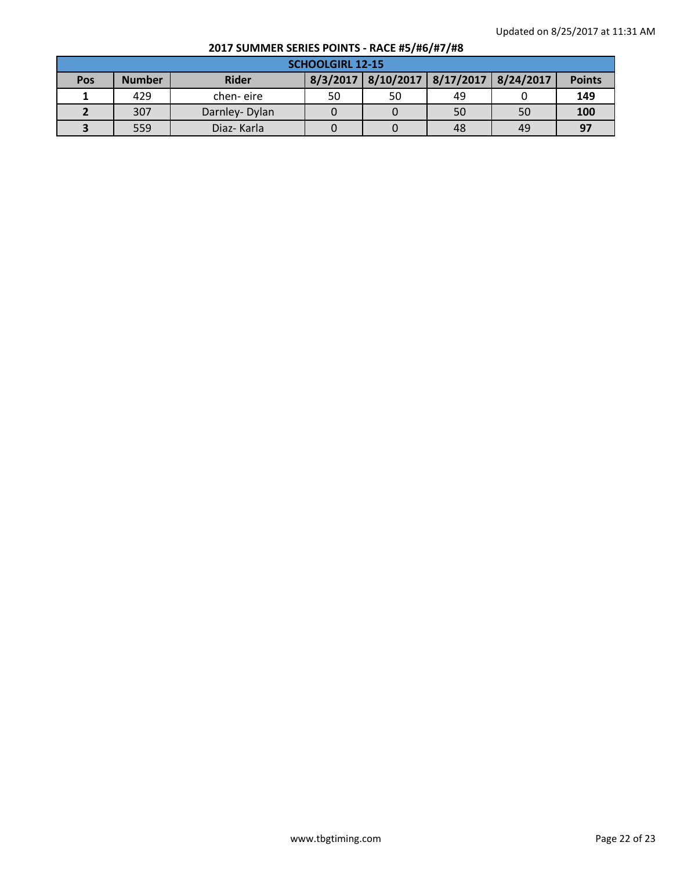|            | <b>SCHOOLGIRL 12-15</b> |               |    |                                              |    |    |               |  |  |  |
|------------|-------------------------|---------------|----|----------------------------------------------|----|----|---------------|--|--|--|
| <b>Pos</b> | <b>Number</b>           | <b>Rider</b>  |    | 8/3/2017   8/10/2017   8/17/2017   8/24/2017 |    |    | <b>Points</b> |  |  |  |
|            | 429                     | chen-eire     | 50 | 50                                           | 49 |    | 149           |  |  |  |
|            | 307                     | Darnley-Dylan |    |                                              | 50 | 50 | 100           |  |  |  |
|            | 559                     | Diaz-Karla    |    |                                              | 48 | 49 | 97            |  |  |  |